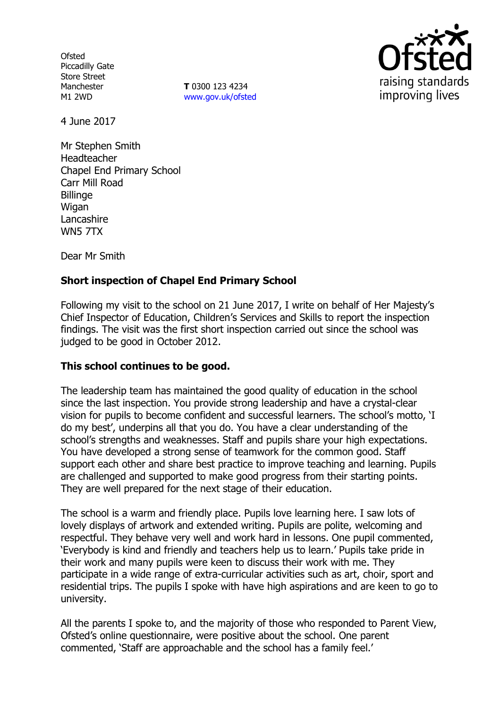**Ofsted** Piccadilly Gate Store Street Manchester M1 2WD

**T** 0300 123 4234 [www.gov.uk/ofsted](http://www.gov.uk/ofsted)



4 June 2017

Mr Stephen Smith Headteacher Chapel End Primary School Carr Mill Road **Billinge** Wigan **Lancashire** WN5 7TX

Dear Mr Smith

# **Short inspection of Chapel End Primary School**

Following my visit to the school on 21 June 2017, I write on behalf of Her Majesty's Chief Inspector of Education, Children's Services and Skills to report the inspection findings. The visit was the first short inspection carried out since the school was judged to be good in October 2012.

## **This school continues to be good.**

The leadership team has maintained the good quality of education in the school since the last inspection. You provide strong leadership and have a crystal-clear vision for pupils to become confident and successful learners. The school's motto, 'I do my best', underpins all that you do. You have a clear understanding of the school's strengths and weaknesses. Staff and pupils share your high expectations. You have developed a strong sense of teamwork for the common good. Staff support each other and share best practice to improve teaching and learning. Pupils are challenged and supported to make good progress from their starting points. They are well prepared for the next stage of their education.

The school is a warm and friendly place. Pupils love learning here. I saw lots of lovely displays of artwork and extended writing. Pupils are polite, welcoming and respectful. They behave very well and work hard in lessons. One pupil commented, 'Everybody is kind and friendly and teachers help us to learn.' Pupils take pride in their work and many pupils were keen to discuss their work with me. They participate in a wide range of extra-curricular activities such as art, choir, sport and residential trips. The pupils I spoke with have high aspirations and are keen to go to university.

All the parents I spoke to, and the majority of those who responded to Parent View, Ofsted's online questionnaire, were positive about the school. One parent commented, 'Staff are approachable and the school has a family feel.'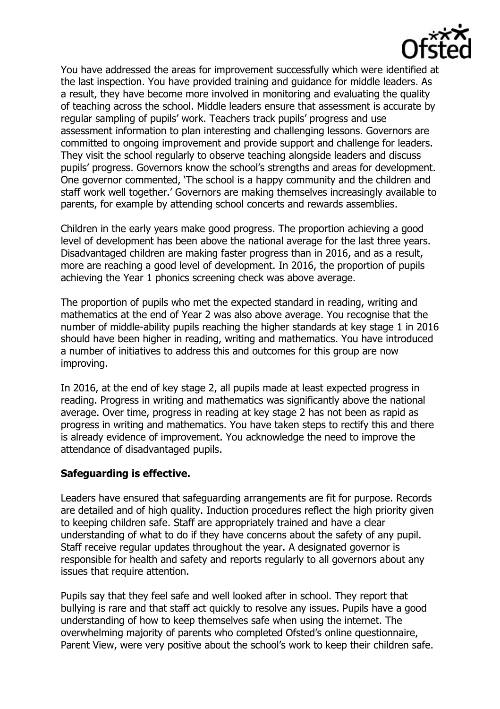

You have addressed the areas for improvement successfully which were identified at the last inspection. You have provided training and guidance for middle leaders. As a result, they have become more involved in monitoring and evaluating the quality of teaching across the school. Middle leaders ensure that assessment is accurate by regular sampling of pupils' work. Teachers track pupils' progress and use assessment information to plan interesting and challenging lessons. Governors are committed to ongoing improvement and provide support and challenge for leaders. They visit the school regularly to observe teaching alongside leaders and discuss pupils' progress. Governors know the school's strengths and areas for development. One governor commented, 'The school is a happy community and the children and staff work well together.' Governors are making themselves increasingly available to parents, for example by attending school concerts and rewards assemblies.

Children in the early years make good progress. The proportion achieving a good level of development has been above the national average for the last three years. Disadvantaged children are making faster progress than in 2016, and as a result, more are reaching a good level of development. In 2016, the proportion of pupils achieving the Year 1 phonics screening check was above average.

The proportion of pupils who met the expected standard in reading, writing and mathematics at the end of Year 2 was also above average. You recognise that the number of middle-ability pupils reaching the higher standards at key stage 1 in 2016 should have been higher in reading, writing and mathematics. You have introduced a number of initiatives to address this and outcomes for this group are now improving.

In 2016, at the end of key stage 2, all pupils made at least expected progress in reading. Progress in writing and mathematics was significantly above the national average. Over time, progress in reading at key stage 2 has not been as rapid as progress in writing and mathematics. You have taken steps to rectify this and there is already evidence of improvement. You acknowledge the need to improve the attendance of disadvantaged pupils.

## **Safeguarding is effective.**

Leaders have ensured that safeguarding arrangements are fit for purpose. Records are detailed and of high quality. Induction procedures reflect the high priority given to keeping children safe. Staff are appropriately trained and have a clear understanding of what to do if they have concerns about the safety of any pupil. Staff receive regular updates throughout the year. A designated governor is responsible for health and safety and reports regularly to all governors about any issues that require attention.

Pupils say that they feel safe and well looked after in school. They report that bullying is rare and that staff act quickly to resolve any issues. Pupils have a good understanding of how to keep themselves safe when using the internet. The overwhelming majority of parents who completed Ofsted's online questionnaire, Parent View, were very positive about the school's work to keep their children safe.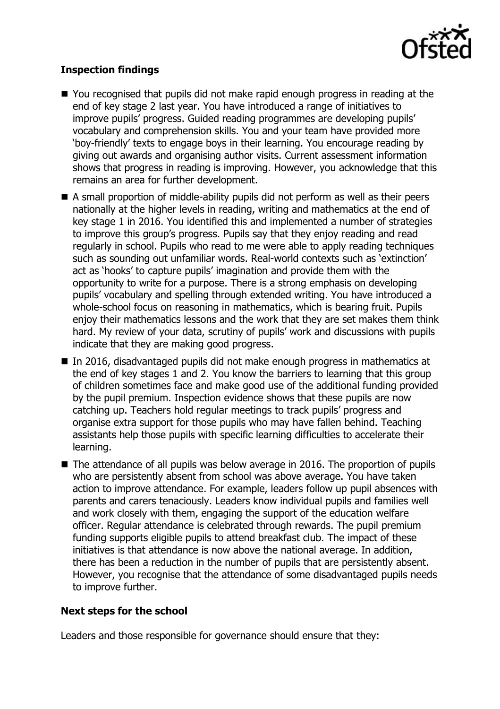

## **Inspection findings**

- You recognised that pupils did not make rapid enough progress in reading at the end of key stage 2 last year. You have introduced a range of initiatives to improve pupils' progress. Guided reading programmes are developing pupils' vocabulary and comprehension skills. You and your team have provided more 'boy-friendly' texts to engage boys in their learning. You encourage reading by giving out awards and organising author visits. Current assessment information shows that progress in reading is improving. However, you acknowledge that this remains an area for further development.
- A small proportion of middle-ability pupils did not perform as well as their peers nationally at the higher levels in reading, writing and mathematics at the end of key stage 1 in 2016. You identified this and implemented a number of strategies to improve this group's progress. Pupils say that they enjoy reading and read regularly in school. Pupils who read to me were able to apply reading techniques such as sounding out unfamiliar words. Real-world contexts such as 'extinction' act as 'hooks' to capture pupils' imagination and provide them with the opportunity to write for a purpose. There is a strong emphasis on developing pupils' vocabulary and spelling through extended writing. You have introduced a whole-school focus on reasoning in mathematics, which is bearing fruit. Pupils enjoy their mathematics lessons and the work that they are set makes them think hard. My review of your data, scrutiny of pupils' work and discussions with pupils indicate that they are making good progress.
- In 2016, disadvantaged pupils did not make enough progress in mathematics at the end of key stages 1 and 2. You know the barriers to learning that this group of children sometimes face and make good use of the additional funding provided by the pupil premium. Inspection evidence shows that these pupils are now catching up. Teachers hold regular meetings to track pupils' progress and organise extra support for those pupils who may have fallen behind. Teaching assistants help those pupils with specific learning difficulties to accelerate their learning.
- The attendance of all pupils was below average in 2016. The proportion of pupils who are persistently absent from school was above average. You have taken action to improve attendance. For example, leaders follow up pupil absences with parents and carers tenaciously. Leaders know individual pupils and families well and work closely with them, engaging the support of the education welfare officer. Regular attendance is celebrated through rewards. The pupil premium funding supports eligible pupils to attend breakfast club. The impact of these initiatives is that attendance is now above the national average. In addition, there has been a reduction in the number of pupils that are persistently absent. However, you recognise that the attendance of some disadvantaged pupils needs to improve further.

## **Next steps for the school**

Leaders and those responsible for governance should ensure that they: